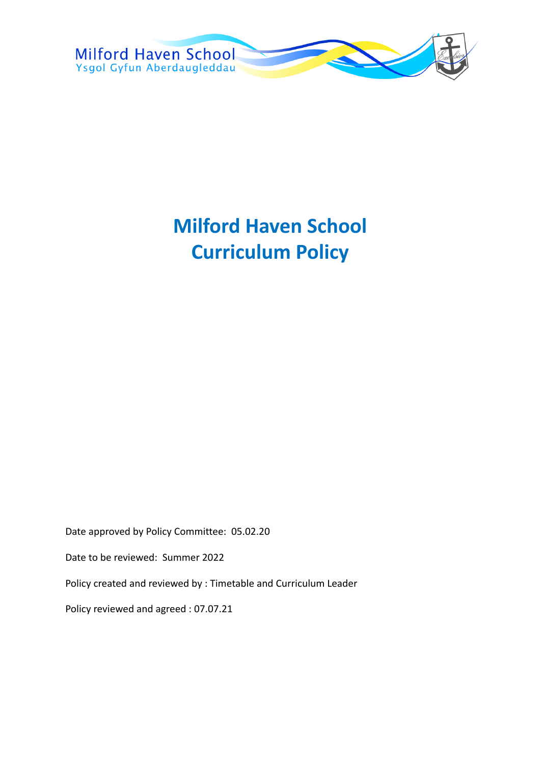

# **Milford Haven School Curriculum Policy**

Date approved by Policy Committee: 05.02.20

Date to be reviewed: Summer 2022

Policy created and reviewed by : Timetable and Curriculum Leader

Policy reviewed and agreed : 07.07.21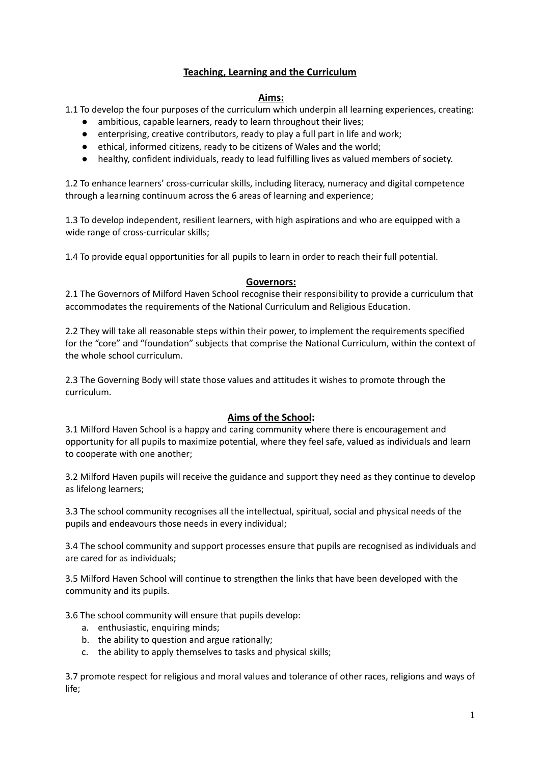# **Teaching, Learning and the Curriculum**

#### **Aims:**

1.1 To develop the four purposes of the curriculum which underpin all learning experiences, creating:

- ambitious, capable learners, ready to learn throughout their lives;
- enterprising, creative contributors, ready to play a full part in life and work;
- ethical, informed citizens, ready to be citizens of Wales and the world;
- healthy, confident individuals, ready to lead fulfilling lives as valued members of society.

1.2 To enhance learners' cross-curricular skills, including literacy, numeracy and digital competence through a learning continuum across the 6 areas of learning and experience;

1.3 To develop independent, resilient learners, with high aspirations and who are equipped with a wide range of cross-curricular skills;

1.4 To provide equal opportunities for all pupils to learn in order to reach their full potential.

## **Governors:**

2.1 The Governors of Milford Haven School recognise their responsibility to provide a curriculum that accommodates the requirements of the National Curriculum and Religious Education.

2.2 They will take all reasonable steps within their power, to implement the requirements specified for the "core" and "foundation" subjects that comprise the National Curriculum, within the context of the whole school curriculum.

2.3 The Governing Body will state those values and attitudes it wishes to promote through the curriculum.

## **Aims of the School:**

3.1 Milford Haven School is a happy and caring community where there is encouragement and opportunity for all pupils to maximize potential, where they feel safe, valued as individuals and learn to cooperate with one another;

3.2 Milford Haven pupils will receive the guidance and support they need as they continue to develop as lifelong learners;

3.3 The school community recognises all the intellectual, spiritual, social and physical needs of the pupils and endeavours those needs in every individual;

3.4 The school community and support processes ensure that pupils are recognised as individuals and are cared for as individuals;

3.5 Milford Haven School will continue to strengthen the links that have been developed with the community and its pupils.

3.6 The school community will ensure that pupils develop:

- a. enthusiastic, enquiring minds;
- b. the ability to question and argue rationally;
- c. the ability to apply themselves to tasks and physical skills;

3.7 promote respect for religious and moral values and tolerance of other races, religions and ways of life;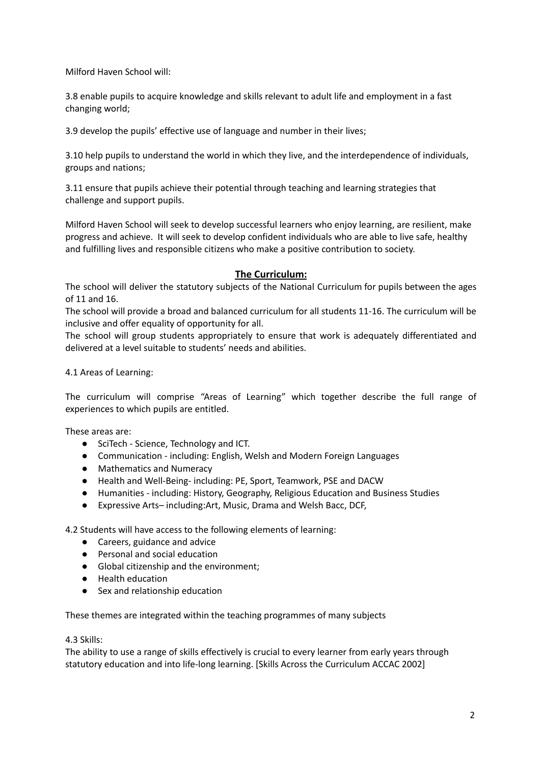Milford Haven School will:

3.8 enable pupils to acquire knowledge and skills relevant to adult life and employment in a fast changing world;

3.9 develop the pupils' effective use of language and number in their lives;

3.10 help pupils to understand the world in which they live, and the interdependence of individuals, groups and nations;

3.11 ensure that pupils achieve their potential through teaching and learning strategies that challenge and support pupils.

Milford Haven School will seek to develop successful learners who enjoy learning, are resilient, make progress and achieve. It will seek to develop confident individuals who are able to live safe, healthy and fulfilling lives and responsible citizens who make a positive contribution to society.

#### **The Curriculum:**

The school will deliver the statutory subjects of the National Curriculum for pupils between the ages of 11 and 16.

The school will provide a broad and balanced curriculum for all students 11-16. The curriculum will be inclusive and offer equality of opportunity for all.

The school will group students appropriately to ensure that work is adequately differentiated and delivered at a level suitable to students' needs and abilities.

4.1 Areas of Learning:

The curriculum will comprise "Areas of Learning" which together describe the full range of experiences to which pupils are entitled.

These areas are:

- SciTech Science, Technology and ICT.
- Communication including: English, Welsh and Modern Foreign Languages
- Mathematics and Numeracy
- Health and Well-Being- including: PE, Sport, Teamwork, PSE and DACW
- Humanities including: History, Geography, Religious Education and Business Studies
- Expressive Arts– including:Art, Music, Drama and Welsh Bacc, DCF,

4.2 Students will have access to the following elements of learning:

- Careers, guidance and advice
- Personal and social education
- Global citizenship and the environment;
- Health education
- Sex and relationship education

These themes are integrated within the teaching programmes of many subjects

#### 4.3 Skills:

The ability to use a range of skills effectively is crucial to every learner from early years through statutory education and into life-long learning. [Skills Across the Curriculum ACCAC 2002]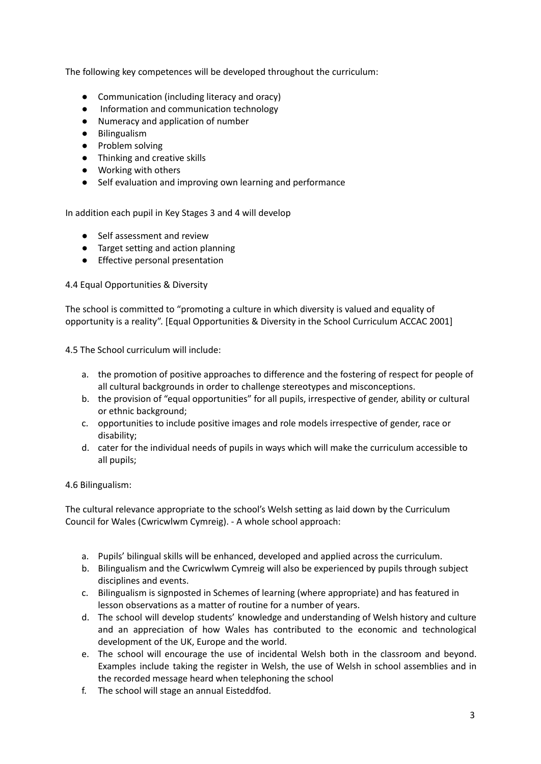The following key competences will be developed throughout the curriculum:

- Communication (including literacy and oracy)
- Information and communication technology
- Numeracy and application of number
- Bilingualism
- Problem solving
- Thinking and creative skills
- Working with others
- Self evaluation and improving own learning and performance

In addition each pupil in Key Stages 3 and 4 will develop

- Self assessment and review
- Target setting and action planning
- Effective personal presentation

4.4 Equal Opportunities & Diversity

The school is committed to "promoting a culture in which diversity is valued and equality of opportunity is a reality". [Equal Opportunities & Diversity in the School Curriculum ACCAC 2001]

4.5 The School curriculum will include:

- a. the promotion of positive approaches to difference and the fostering of respect for people of all cultural backgrounds in order to challenge stereotypes and misconceptions.
- b. the provision of "equal opportunities" for all pupils, irrespective of gender, ability or cultural or ethnic background;
- c. opportunities to include positive images and role models irrespective of gender, race or disability;
- d. cater for the individual needs of pupils in ways which will make the curriculum accessible to all pupils;

## 4.6 Bilingualism:

The cultural relevance appropriate to the school's Welsh setting as laid down by the Curriculum Council for Wales (Cwricwlwm Cymreig). - A whole school approach:

- a. Pupils' bilingual skills will be enhanced, developed and applied across the curriculum.
- b. Bilingualism and the Cwricwlwm Cymreig will also be experienced by pupils through subject disciplines and events.
- c. Bilingualism is signposted in Schemes of learning (where appropriate) and has featured in lesson observations as a matter of routine for a number of years.
- d. The school will develop students' knowledge and understanding of Welsh history and culture and an appreciation of how Wales has contributed to the economic and technological development of the UK, Europe and the world.
- e. The school will encourage the use of incidental Welsh both in the classroom and beyond. Examples include taking the register in Welsh, the use of Welsh in school assemblies and in the recorded message heard when telephoning the school
- f. The school will stage an annual Eisteddfod.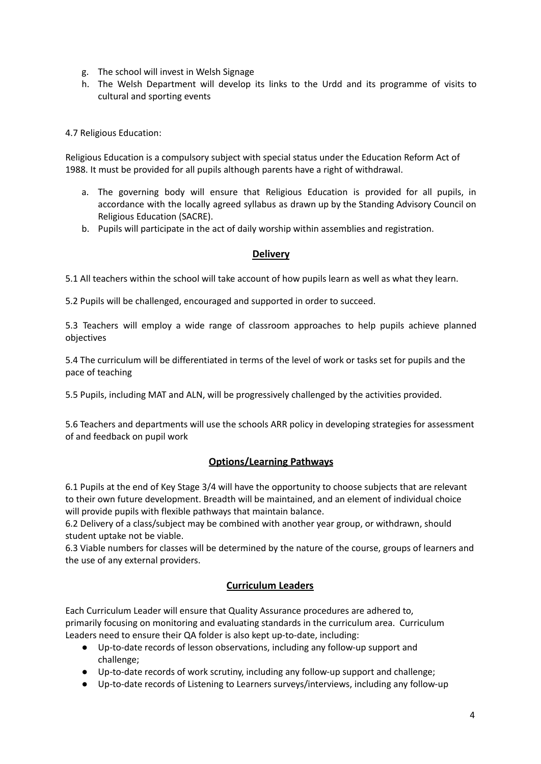- g. The school will invest in Welsh Signage
- h. The Welsh Department will develop its links to the Urdd and its programme of visits to cultural and sporting events

4.7 Religious Education:

Religious Education is a compulsory subject with special status under the Education Reform Act of 1988. It must be provided for all pupils although parents have a right of withdrawal.

- a. The governing body will ensure that Religious Education is provided for all pupils, in accordance with the locally agreed syllabus as drawn up by the Standing Advisory Council on Religious Education (SACRE).
- b. Pupils will participate in the act of daily worship within assemblies and registration.

# **Delivery**

5.1 All teachers within the school will take account of how pupils learn as well as what they learn.

5.2 Pupils will be challenged, encouraged and supported in order to succeed.

5.3 Teachers will employ a wide range of classroom approaches to help pupils achieve planned objectives

5.4 The curriculum will be differentiated in terms of the level of work or tasks set for pupils and the pace of teaching

5.5 Pupils, including MAT and ALN, will be progressively challenged by the activities provided.

5.6 Teachers and departments will use the schools ARR policy in developing strategies for assessment of and feedback on pupil work

# **Options/Learning Pathways**

6.1 Pupils at the end of Key Stage 3/4 will have the opportunity to choose subjects that are relevant to their own future development. Breadth will be maintained, and an element of individual choice will provide pupils with flexible pathways that maintain balance.

6.2 Delivery of a class/subject may be combined with another year group, or withdrawn, should student uptake not be viable.

6.3 Viable numbers for classes will be determined by the nature of the course, groups of learners and the use of any external providers.

# **Curriculum Leaders**

Each Curriculum Leader will ensure that Quality Assurance procedures are adhered to, primarily focusing on monitoring and evaluating standards in the curriculum area. Curriculum Leaders need to ensure their QA folder is also kept up-to-date, including:

- Up-to-date records of lesson observations, including any follow-up support and challenge;
- Up-to-date records of work scrutiny, including any follow-up support and challenge;
- Up-to-date records of Listening to Learners surveys/interviews, including any follow-up